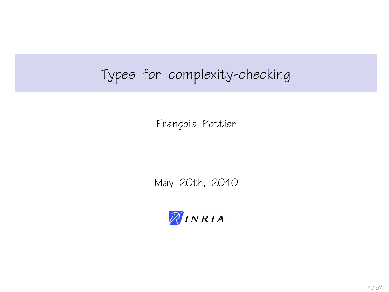# Types for complexity-checking

François Pottier

May 20th, 2010

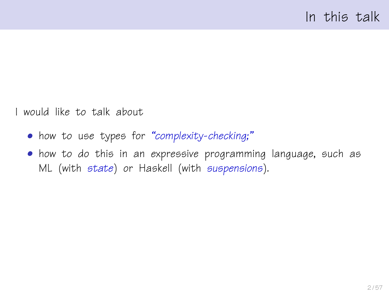I would like to talk about

- how to use types for "complexity-checking;"
- how to do this in an expressive programming language, such as ML (with state) or Haskell (with suspensions).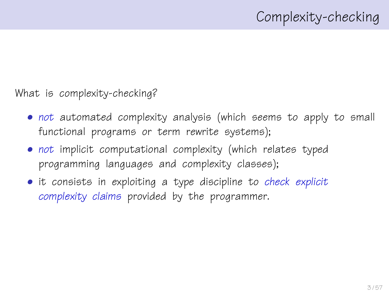What is complexity-checking?

- not automated complexity analysis (which seems to apply to small functional programs or term rewrite systems);
- not implicit computational complexity (which relates typed programming languages and complexity classes);
- it consists in exploiting a type discipline to check explicit complexity claims provided by the programmer.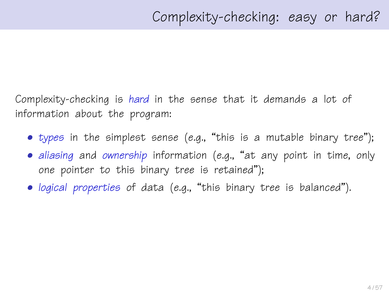Complexity-checking is hard in the sense that it demands a lot of information about the program:

- types in the simplest sense (e.g., "this is a mutable binary tree");
- aliasing and ownership information (e.g., "at any point in time, only one pointer to this binary tree is retained");
- logical properties of data (e.g., "this binary tree is balanced").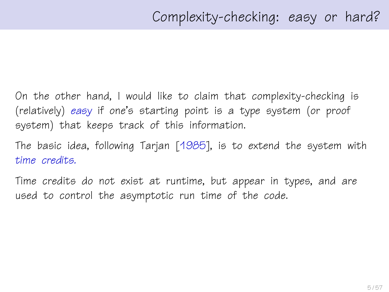On the other hand, I would like to claim that complexity-checking is (relatively) easy if one's starting point is a type system (or proof system) that keeps track of this information.

The basic idea, following Tarjan [\[1985\]](#page-56-0), is to extend the system with time credits.

Time credits do not exist at runtime, but appear in types, and are used to control the asymptotic run time of the code.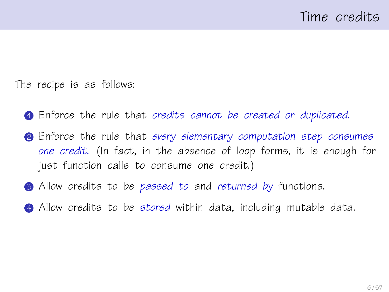The recipe is as follows:

- <span id="page-5-0"></span>1 Enforce the rule that credits cannot be created or duplicated.
- <span id="page-5-1"></span>**2** Enforce the rule that every elementary computation step consumes one credit. (In fact, in the absence of loop forms, it is enough for just function calls to consume one credit.)
- <span id="page-5-2"></span>**3** Allow credits to be passed to and returned by functions.
- <span id="page-5-3"></span>4 Allow credits to be stored within data, including mutable data.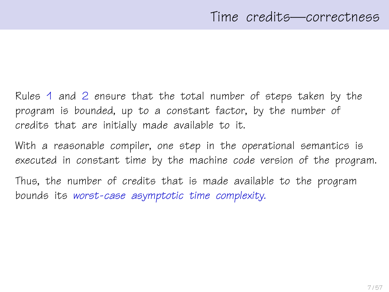Rules [1](#page-5-0) and [2](#page-5-1) ensure that the total number of steps taken by the program is bounded, up to a constant factor, by the number of credits that are initially made available to it.

With a reasonable compiler, one step in the operational semantics is executed in constant time by the machine code version of the program.

Thus, the number of credits that is made available to the program bounds its worst-case asymptotic time complexity.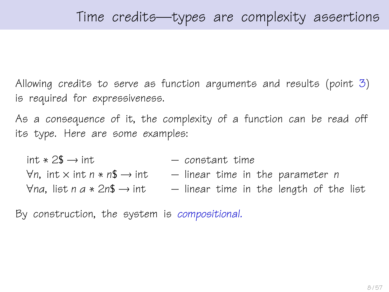Allowing credits to serve as function arguments and results (point [3\)](#page-5-2) is required for expressiveness.

As a consequence of it, the complexity of a function can be read off its type. Here are some examples:

 $int * 2\$\rightarrow int$  – constant time  $\forall n$ , int x int n \* n\$  $\rightarrow$  int – linear time in the parameter n  $\forall$ na, list n a \* 2n\$ → int – linear time in the length of the list

By construction, the system is compositional.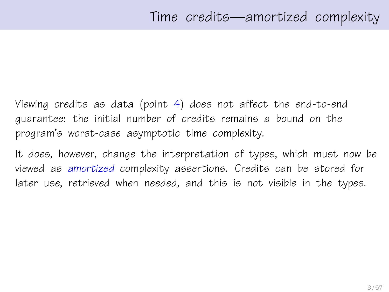Viewing credits as data (point [4\)](#page-5-3) does not affect the end-to-end guarantee: the initial number of credits remains a bound on the program's worst-case asymptotic time complexity.

It does, however, change the interpretation of types, which must now be viewed as amortized complexity assertions. Credits can be stored for later use, retrieved when needed, and this is not visible in the types.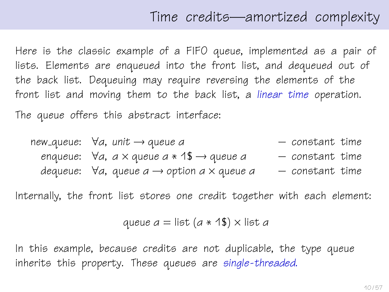## Time credits—amortized complexity

<span id="page-9-0"></span>Here is the classic example of a FIFO queue, implemented as a pair of lists. Elements are enqueued into the front list, and dequeued out of the back list. Dequeuing may require reversing the elements of the front list and moving them to the back list, a linear time operation. The queue offers this abstract interface:

new-queue: 
$$
\forall a
$$
, unit  $\rightarrow$  queue *a*  $\rightarrow$   $\rightarrow$   $\rightarrow$   $\rightarrow$   $\rightarrow$   $\rightarrow$   $\rightarrow$   $\rightarrow$   $\rightarrow$   $\rightarrow$   $\rightarrow$   $\rightarrow$   $\rightarrow$   $\rightarrow$   $\rightarrow$   $\rightarrow$   $\rightarrow$   $\rightarrow$   $\rightarrow$   $\rightarrow$   $\rightarrow$   $\rightarrow$   $\rightarrow$   $\rightarrow$   $\rightarrow$   $\rightarrow$   $\rightarrow$   $\rightarrow$   $\rightarrow$   $\rightarrow$   $\rightarrow$   $\rightarrow$   $\rightarrow$   $\rightarrow$   $\rightarrow$   $\rightarrow$   $\rightarrow$   $\rightarrow$   $\rightarrow$   $\rightarrow$   $\rightarrow$   $\rightarrow$   $\rightarrow$   $\rightarrow$   $\rightarrow$   $\rightarrow$   $\rightarrow$   $\rightarrow$   $\rightarrow$   $\rightarrow$   $\rightarrow$   $\rightarrow$   $\rightarrow$   $\rightarrow$   $\rightarrow$   $\rightarrow$   $\rightarrow$   $\rightarrow$   $\rightarrow$   $\rightarrow$   $\rightarrow$   $\rightarrow$   $\rightarrow$   $\rightarrow$   $\rightarrow$   $\rightarrow$   $\rightarrow$   $\rightarrow$   $\rightarrow$   $\rightarrow$   $\rightarrow$   $\rightarrow$   $\rightarrow$   $\rightarrow$   $\rightarrow$   $\rightarrow$   $\rightarrow$   $\rightarrow$   $\rightarrow$   $\rightarrow$   $\rightarrow$   $\rightarrow$   $\rightarrow$   $\rightarrow$   $\rightarrow$   $\rightarrow$   $\rightarrow$   $\rightarrow$   $\rightarrow$   $\rightarrow$   $\rightarrow$   $\rightarrow$   $\rightarrow$   $\rightarrow$   $\rightarrow$   $\rightarrow$   $\rightarrow$   $\rightarrow$   $\rightarrow$   $\rightarrow$   $\rightarrow$   $\rightarrow$   $\rightarrow$   $\rightarrow$   $\rightarrow$   $\$ 

Internally, the front list stores one credit together with each element:

queue 
$$
a = list(a * 1\text{\$}) \times list a
$$

In this example, because credits are not duplicable, the type queue inherits this property. These queues are single-threaded.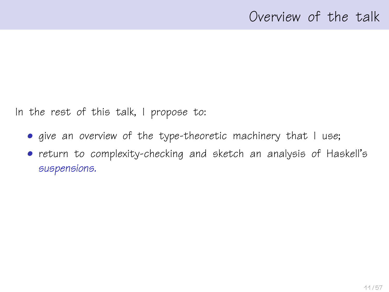In the rest of this talk, I propose to:

- give an overview of the type-theoretic machinery that I use;
- return to complexity-checking and sketch an analysis of Haskell's suspensions.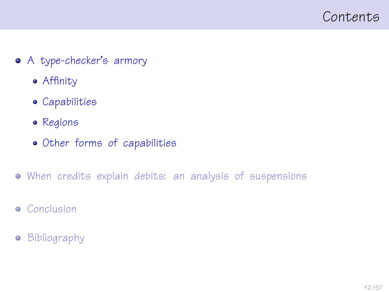<span id="page-11-0"></span>

- [A type-checker's armory](#page-11-0)
	- [Affinity](#page-14-0)
	- [Capabilities](#page-20-0)
	- [Regions](#page-27-0)
	- [Other forms of capabilities](#page-32-0)
- [When credits explain debits: an analysis of suspensions](#page-37-0)
- **•** [Conclusion](#page-50-0)
- [Bibliography](#page-54-0)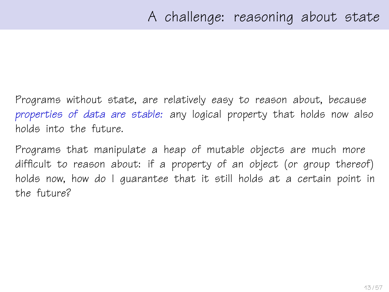Programs without state, are relatively easy to reason about, because properties of data are stable: any logical property that holds now also holds into the future.

Programs that manipulate a heap of mutable objects are much more difficult to reason about: if a property of an object (or group thereof) holds now, how do I guarantee that it still holds at a certain point in the future?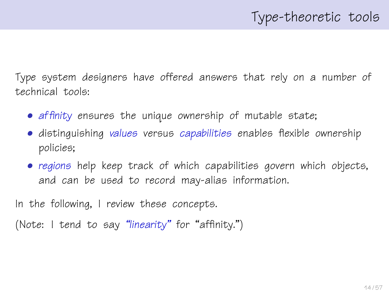Type system designers have offered answers that rely on a number of technical tools:

- affinity ensures the unique ownership of mutable state;
- distinguishing values versus capabilities enables flexible ownership policies;
- regions help keep track of which capabilities govern which objects, and can be used to record may-alias information.

In the following, I review these concepts.

(Note: I tend to say "linearity" for "affinity.")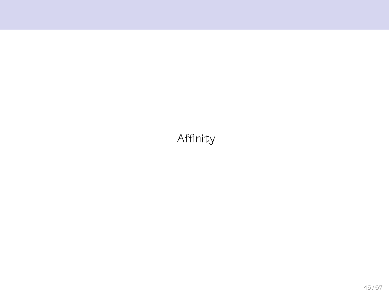### <span id="page-14-0"></span>Affinity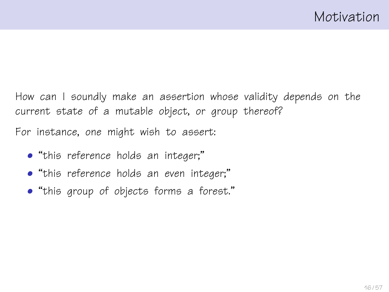How can I soundly make an assertion whose validity depends on the current state of a mutable object, or group thereof?

For instance, one might wish to assert:

- "this reference holds an integer;"
- "this reference holds an even integer;"
- "this group of objects forms a forest."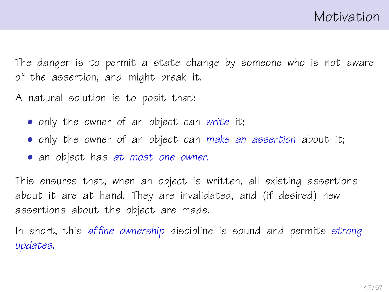The danger is to permit a state change by someone who is not aware of the assertion, and might break it.

A natural solution is to posit that:

- only the owner of an object can write it;
- only the owner of an object can make an assertion about it;
- an object has at most one owner.

This ensures that, when an object is written, all existing assertions about it are at hand. They are invalidated, and (if desired) new assertions about the object are made.

In short, this affine ownership discipline is sound and permits strong updates.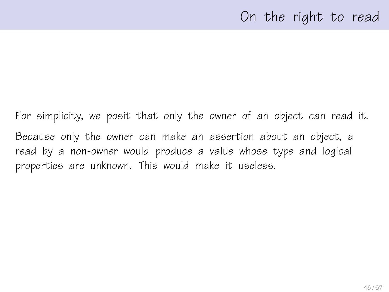### On the right to read

For simplicity, we posit that only the owner of an object can read it. Because only the owner can make an assertion about an object, a read by a non-owner would produce a value whose type and logical properties are unknown. This would make it useless.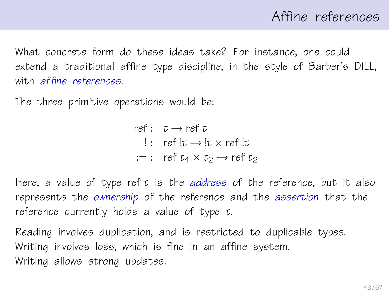# Affine references

What concrete form do these ideas take? For instance, one could extend a traditional affine type discipline, in the style of Barber's DILL, with *affine* references.

The three primitive operations would be:

ref: 
$$
\tau \rightarrow ref \tau
$$
  
:: ref  $l\tau \rightarrow l\tau \times ref \, l\tau$   
:=: ref  $\tau_1 \times \tau_2 \rightarrow ref \, \tau_2$ 

Here, a value of type ref τ is the address of the reference, but it also represents the ownership of the reference and the assertion that the reference currently holds a value of type τ.

Reading involves duplication, and is restricted to duplicable types. Writing involves loss, which is fine in an affine system. Writing allows strong updates.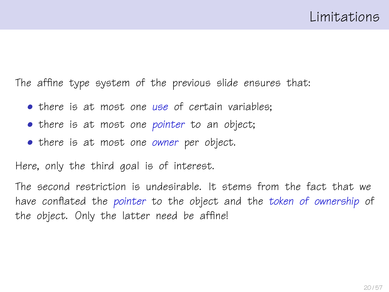The affine type system of the previous slide ensures that:

- there is at most one use of certain variables:
- there is at most one pointer to an object;
- there is at most one owner per object.

Here, only the third goal is of interest.

The second restriction is undesirable. It stems from the fact that we have conflated the pointer to the object and the token of ownership of the object. Only the latter need be affine!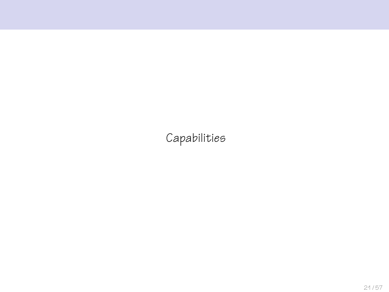<span id="page-20-0"></span>Capabilities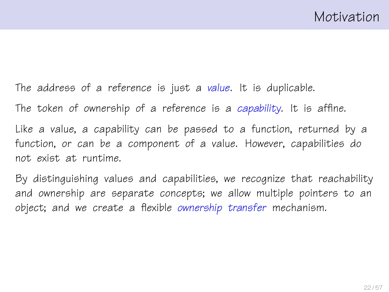The address of a reference is just a value. It is duplicable.

The token of ownership of a reference is a capability. It is affine.

Like a value, a capability can be passed to a function, returned by a function, or can be a component of a value. However, capabilities do not exist at runtime.

By distinguishing values and capabilities, we recognize that reachability and ownership are separate concepts; we allow multiple pointers to an object; and we create a flexible ownership transfer mechanism.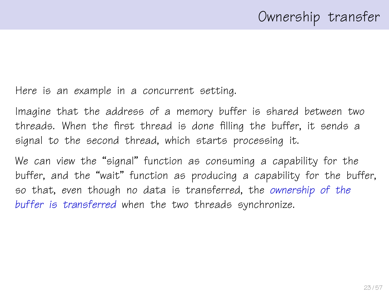Here is an example in a concurrent setting.

Imagine that the address of a memory buffer is shared between two threads. When the first thread is done filling the buffer, it sends a signal to the second thread, which starts processing it.

We can view the "signal" function as consuming a capability for the buffer, and the "wait" function as producing a capability for the buffer, so that, even though no data is transferred, the ownership of the buffer is transferred when the two threads synchronize.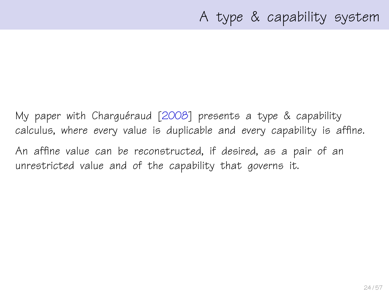My paper with Charguéraud  $[2008]$  $[2008]$  presents a type & capability calculus, where every value is duplicable and every capability is affine.

An affine value can be reconstructed, if desired, as a pair of an unrestricted value and of the capability that governs it.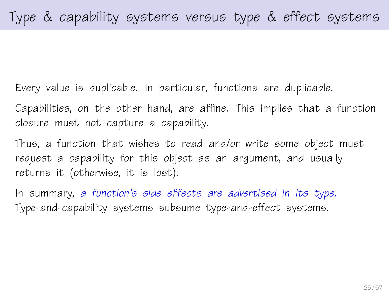Every value is duplicable. In particular, functions are duplicable.

Capabilities, on the other hand, are affine. This implies that a function closure must not capture a capability.

Thus, a function that wishes to read and/or write some object must request a capability for this object as an argument, and usually returns it (otherwise, it is lost).

In summary, a function's side effects are advertised in its type. Type-and-capability systems subsume type-and-effect systems.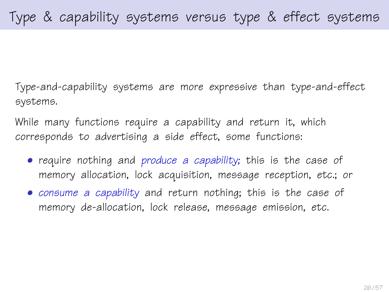Type-and-capability systems are more expressive than type-and-effect systems.

While many functions require a capability and return it, which corresponds to advertising a side effect, some functions:

- require nothing and produce a capability; this is the case of memory allocation, lock acquisition, message reception, etc.; or
- consume a capability and return nothing; this is the case of memory de-allocation, lock release, message emission, etc.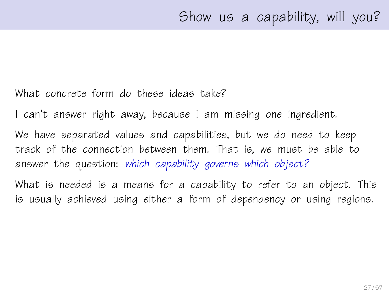#### What concrete form do these ideas take?

I can't answer right away, because I am missing one ingredient.

We have separated values and capabilities, but we do need to keep track of the connection between them. That is, we must be able to answer the question: which capability governs which object?

What is needed is a means for a capability to refer to an object. This is usually achieved using either a form of dependency or using regions.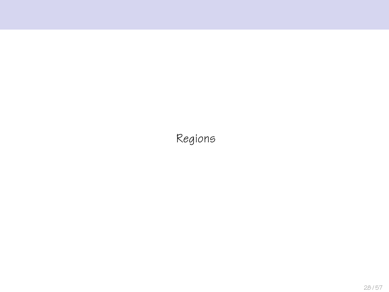<span id="page-27-0"></span>Regions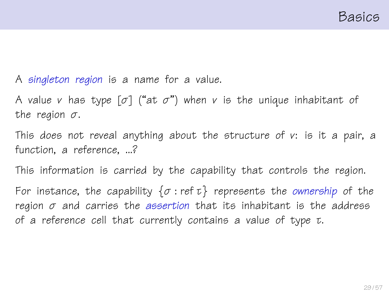A singleton region is a name for a value.

A value v has type  $[\sigma]$  ("at  $\sigma$ ") when v is the unique inhabitant of the region  $\sigma$ .

This does not reveal anything about the structure of v: is it a pair, a function, a reference, ...?

This information is carried by the capability that controls the region.

For instance, the capability  $\{\sigma : \text{ref } \tau\}$  represents the ownership of the region  $\sigma$  and carries the assertion that its inhabitant is the address of a reference cell that currently contains a value of type τ.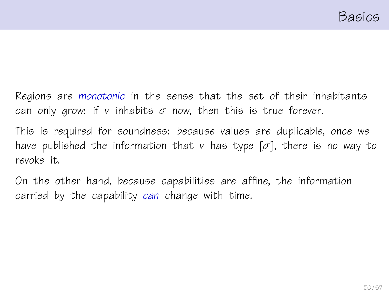Regions are monotonic in the sense that the set of their inhabitants can only grow: if v inhabits  $\sigma$  now, then this is true forever.

This is required for soundness: because values are duplicable, once we have published the information that v has type  $[\sigma]$ , there is no way to revoke it.

On the other hand, because capabilities are affine, the information carried by the capability can change with time.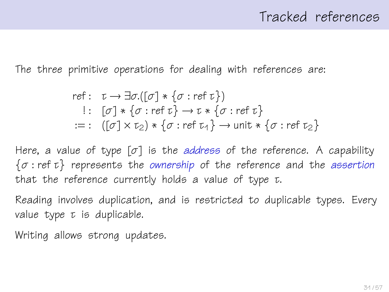## Tracked references

The three primitive operations for dealing with references are:

ref: 
$$
\tau \to \exists \sigma . [[\sigma] * {\sigma : ref \tau}
$$
)  
\n $[: [\sigma] * {\sigma : ref \tau} \to \tau * {\sigma : ref \tau}$   
\n $:= : ([\sigma] \times \tau_2) * {\sigma : ref \tau_4} \to \text{unit} * {\sigma : ref \tau_2}$ 

Here, a value of type  $[\sigma]$  is the address of the reference. A capability  $\{\sigma : \text{ref } \tau\}$  represents the ownership of the reference and the assertion that the reference currently holds a value of type τ.

Reading involves duplication, and is restricted to duplicable types. Every value type  $\tau$  is duplicable.

Writing allows strong updates.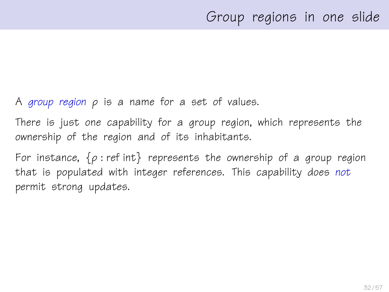A group region  $\rho$  is a name for a set of values.

There is just one capability for a group region, which represents the ownership of the region and of its inhabitants.

For instance,  $\{\rho : \text{ref int}\}\$  represents the ownership of a group region that is populated with integer references. This capability does not permit strong updates.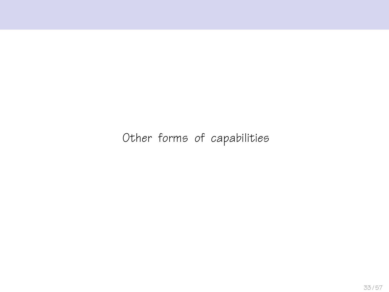### <span id="page-32-0"></span>Other forms of capabilities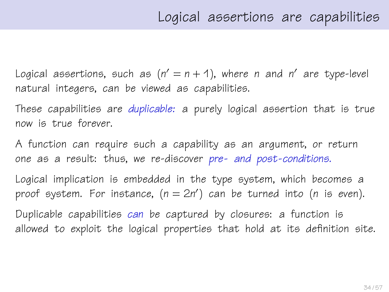Logical assertions, such as  $(n' = n + 1)$ , where n and n' are type-level natural integers, can be viewed as capabilities.

These capabilities are duplicable: a purely logical assertion that is true now is true forever.

A function can require such a capability as an argument, or return one as a result: thus, we re-discover pre- and post-conditions.

Logical implication is embedded in the type system, which becomes a proof system. For instance,  $(n = 2n')$  can be turned into (n is even).

Duplicable capabilities can be captured by closures: a function is allowed to exploit the logical properties that hold at its definition site.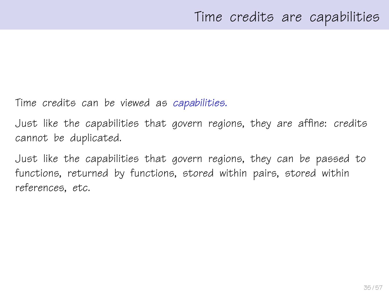Time credits can be viewed as capabilities.

Just like the capabilities that govern regions, they are affine: credits cannot be duplicated.

Just like the capabilities that govern regions, they can be passed to functions, returned by functions, stored within pairs, stored within references, etc.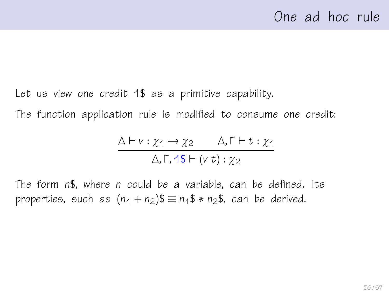Let us view one credit 1\$ as a primitive capability.

The function application rule is modified to consume one credit:

$$
\frac{\Delta \vdash v : \chi_1 \rightarrow \chi_2 \qquad \Delta, \Gamma \vdash t : \chi_1}{\Delta, \Gamma, 1\$\vdash (v\ t) : \chi_2}
$$

The form n\$, where n could be a variable, can be defined. Its properties, such as  $(n_1 + n_2)\$  =  $n_1$ \$ \*  $n_2$ \$, can be derived.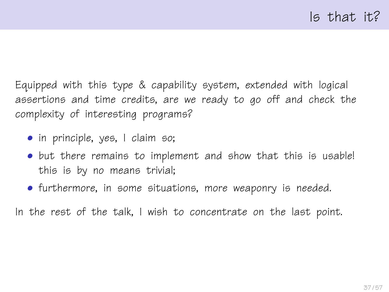Equipped with this type & capability system, extended with logical assertions and time credits, are we ready to go off and check the complexity of interesting programs?

- in principle, yes, I claim so;
- but there remains to implement and show that this is usable! this is by no means trivial;
- furthermore, in some situations, more weaponry is needed.

In the rest of the talk, I wish to concentrate on the last point.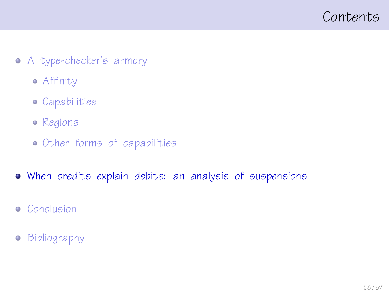<span id="page-37-0"></span>

- [A type-checker's armory](#page-11-0)
	- [Affinity](#page-14-0)
	- [Capabilities](#page-20-0)
	- [Regions](#page-27-0)
	- [Other forms of capabilities](#page-32-0)
- [When credits explain debits: an analysis of suspensions](#page-37-0)
- **•** [Conclusion](#page-50-0)
- [Bibliography](#page-54-0)  $\bullet$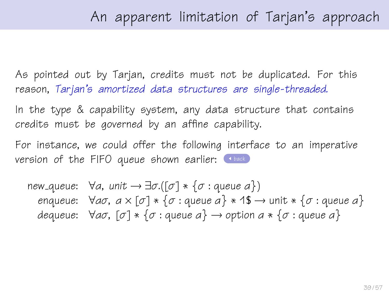As pointed out by Tarjan, credits must not be duplicated. For this reason, Tarjan's amortized data structures are single-threaded.

In the type & capability system, any data structure that contains credits must be governed by an affine capability.

For instance, we could offer the following interface to an imperative version of the FIFO queue shown earlier:  $\Box$ 

new\_queue:  $\forall a$ , unit  $\rightarrow \exists \sigma.([\sigma] * {\sigma : \text{queue } a})$ enqueue:  $\forall a\sigma, a \times [\sigma] * \{\sigma : \text{queue } a\} * 1\$\rightarrow \text{unit} * \{\sigma : \text{queue } a\}$ dequeue:  $\forall a\sigma$ ,  $[\sigma] * {\sigma : \text{queue } a} \rightarrow \text{option } a * {\sigma : \text{queue } a}$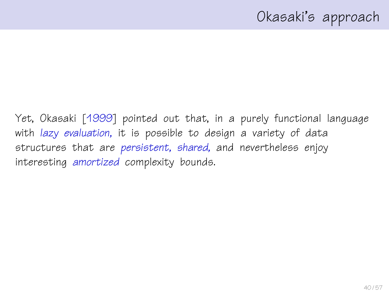Yet, Okasaki [\[1999\]](#page-55-1) pointed out that, in a purely functional language with lazy evaluation, it is possible to design a variety of data structures that are persistent, shared, and nevertheless enjoy interesting amortized complexity bounds.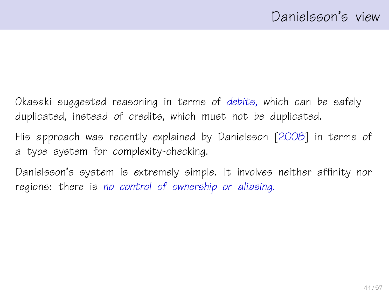Okasaki suggested reasoning in terms of debits, which can be safely duplicated, instead of credits, which must not be duplicated.

His approach was recently explained by Danielsson [\[2008\]](#page-55-2) in terms of a type system for complexity-checking.

Danielsson's system is extremely simple. It involves neither affinity nor regions: there is no control of ownership or aliasing.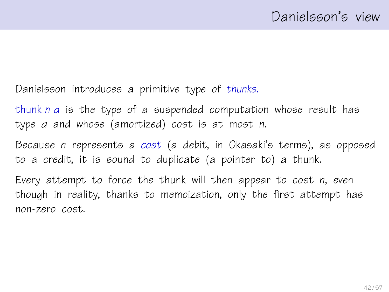Danielsson introduces a primitive type of thunks.

thunk n α is the type of a suspended computation whose result has type α and whose (amortized) cost is at most n.

Because n represents a cost (a debit, in Okasaki's terms), as opposed to a credit, it is sound to duplicate (a pointer to) a thunk.

Every attempt to force the thunk will then appear to cost n, even though in reality, thanks to memoization, only the first attempt has non-zero cost.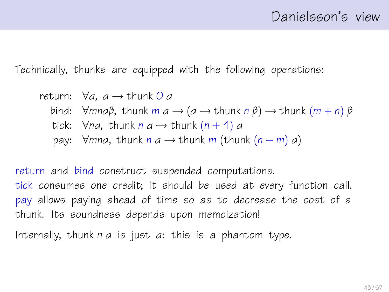Technically, thunks are equipped with the following operations:

return:  $\forall a, a \rightarrow \text{thunk } O a$ bind:  $\forall mna\beta$ , thunk  $m a \rightarrow (a \rightarrow \text{thunk} \ n \beta) \rightarrow \text{thunk} \ (m+n) \ \beta$ tick:  $\forall$ na, thunk n a  $\rightarrow$  thunk (n + 1) a pay:  $\forall$ mna, thunk n a  $\rightarrow$  thunk m (thunk (n – m) a)

return and bind construct suspended computations. tick consumes one credit; it should be used at every function call. pay allows paying ahead of time so as to decrease the cost of a thunk. Its soundness depends upon memoization!

Internally, thunk  $n \, a$  is just  $a$ : this is a phantom type.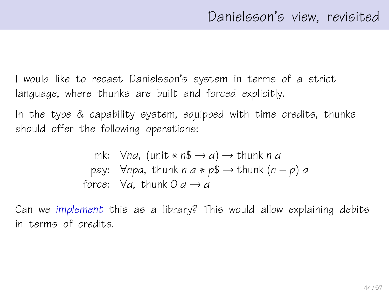I would like to recast Danielsson's system in terms of a strict language, where thunks are built and forced explicitly.

In the type & capability system, equipped with time credits, thunks should offer the following operations:

mk: 
$$
\forall na
$$
, (unit \* n\$  $\rightarrow a$ )  $\rightarrow$  thunk n a  
pay:  $\forall npa$ , thunk n a \* p\$  $\rightarrow$  thunk (n - p) a  
force:  $\forall a$ , thunk 0 a  $\rightarrow$  a

Can we implement this as a library? This would allow explaining debits in terms of credits.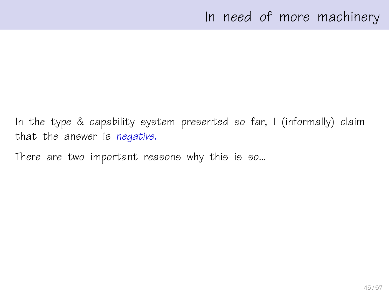## In need of more machinery

In the type & capability system presented so far, I (informally) claim that the answer is negative.

There are two important reasons why this is so...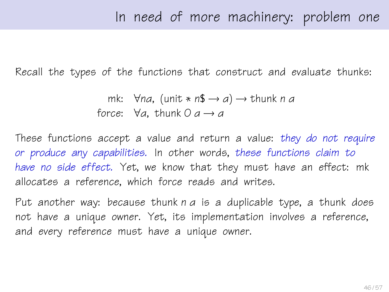Recall the types of the functions that construct and evaluate thunks:

mk:  $\forall$ na, (unit \* n\$  $\rightarrow$  a)  $\rightarrow$  thunk n a force:  $\forall a$ , thunk  $0 \neq a \rightarrow a$ 

These functions accept a value and return a value: they do not require or produce any capabilities. In other words, these functions claim to have no side effect. Yet, we know that they must have an effect: mk allocates a reference, which force reads and writes.

Put another way: because thunk  $n \, a$  is a duplicable type, a thunk does not have a unique owner. Yet, its implementation involves a reference, and every reference must have a unique owner.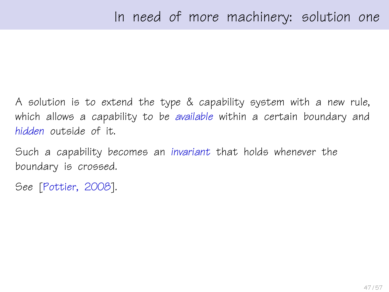A solution is to extend the type & capability system with a new rule, which allows a capability to be available within a certain boundary and hidden outside of it.

Such a capability becomes an invariant that holds whenever the boundary is crossed.

See [\[Pottier, 2008\]](#page-56-1).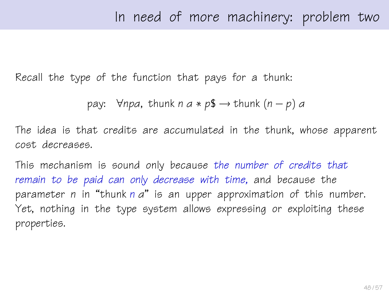Recall the type of the function that pays for a thunk:

pay:  $\forall$ npa, thunk n a \* p\$  $\rightarrow$  thunk (n – p) a

The idea is that credits are accumulated in the thunk, whose apparent cost decreases.

This mechanism is sound only because the number of credits that remain to be paid can only decrease with time, and because the parameter n in "thunk n a" is an upper approximation of this number. Yet, nothing in the type system allows expressing or exploiting these properties.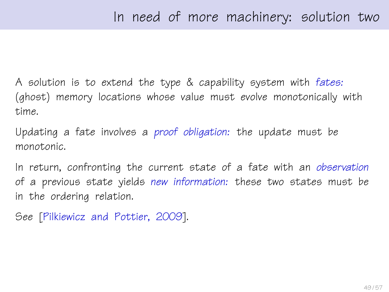A solution is to extend the type & capability system with fates: (ghost) memory locations whose value must evolve monotonically with time.

Updating a fate involves a proof obligation: the update must be monotonic.

In return, confronting the current state of a fate with an observation of a previous state yields new information: these two states must be in the ordering relation.

See [\[Pilkiewicz and Pottier, 2009\]](#page-56-2).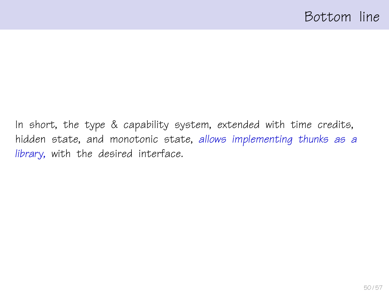In short, the type & capability system, extended with time credits, hidden state, and monotonic state, allows implementing thunks as a library, with the desired interface.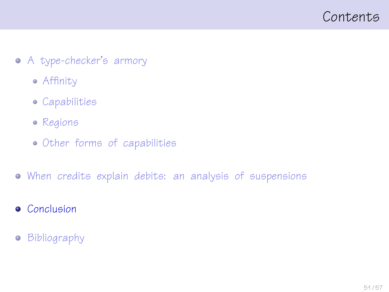<span id="page-50-0"></span>

- [A type-checker's armory](#page-11-0)
	- [Affinity](#page-14-0)
	- [Capabilities](#page-20-0)
	- [Regions](#page-27-0)
	- [Other forms of capabilities](#page-32-0)
- [When credits explain debits: an analysis of suspensions](#page-37-0)
- **•** [Conclusion](#page-50-0)
- [Bibliography](#page-54-0)  $\bullet$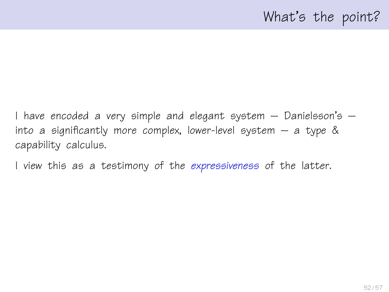I have encoded a very simple and elegant system – Danielsson's – into a significantly more complex, lower-level system  $-$  a type  $\&$ capability calculus.

I view this as a testimony of the expressiveness of the latter.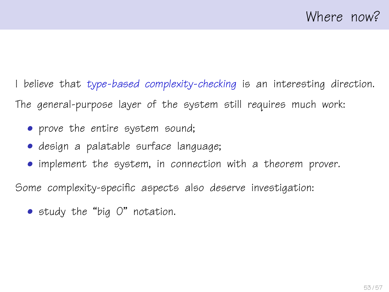I believe that type-based complexity-checking is an interesting direction. The general-purpose layer of the system still requires much work:

- prove the entire system sound;
- design a palatable surface language;
- implement the system, in connection with a theorem prover.

Some complexity-specific aspects also deserve investigation:

• study the "big O" notation.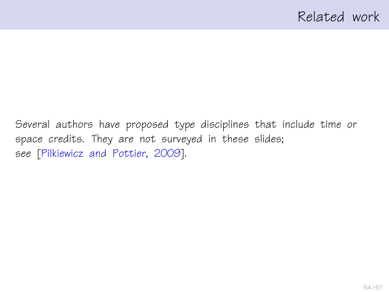Several authors have proposed type disciplines that include time or space credits. They are not surveyed in these slides; see [\[Pilkiewicz and Pottier, 2009\]](#page-56-2).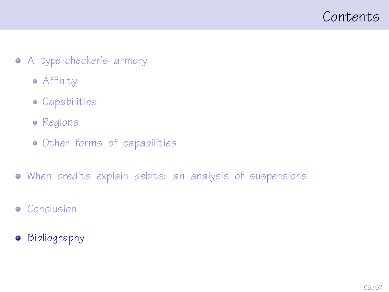<span id="page-54-0"></span>

- [A type-checker's armory](#page-11-0)
	- [Affinity](#page-14-0)
	- [Capabilities](#page-20-0)
	- [Regions](#page-27-0)
	- [Other forms of capabilities](#page-32-0)
- [When credits explain debits: an analysis of suspensions](#page-37-0)
- **•** [Conclusion](#page-50-0)
- **•** [Bibliography](#page-54-0)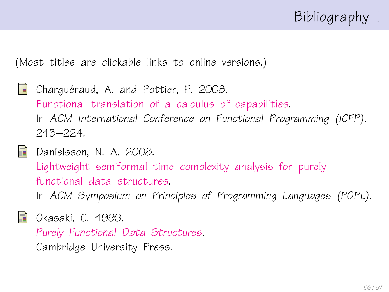

(Most titles are clickable links to online versions.)

- <span id="page-55-0"></span>記 Charquéraud, A. and Pottier, F. 2008. [Functional translation of a calculus of capabilities.](http://cristal.inria.fr/~fpottier/publis/chargueraud-pottier-capabilities.pdf) In ACM International Conference on Functional Programming (ICFP). 213–224.
- <span id="page-55-2"></span>**Danielsson, N. A. 2008.**

[Lightweight semiformal time complexity analysis for purely](http://www.cs.chalmers.se/~nad/publications/danielsson-popl2008.pdf) [functional data structures.](http://www.cs.chalmers.se/~nad/publications/danielsson-popl2008.pdf)

In ACM Symposium on Principles of Programming Languages (POPL).

- <span id="page-55-1"></span>
- **No** Okasaki, C. 1999.

[Purely Functional Data Structures](http://www.cambridge.org/us/catalogue/catalogue.asp?isbn=0521663504).

Cambridge University Press.